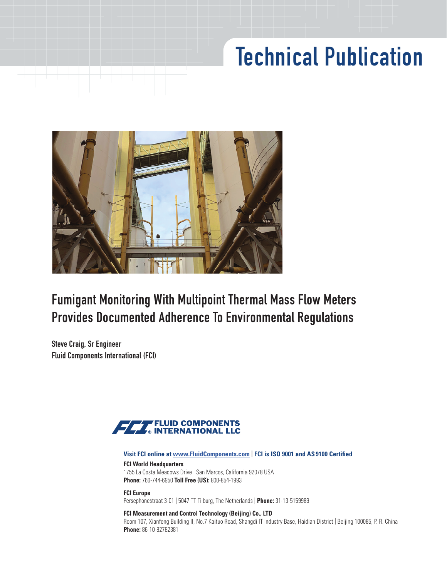# Technical Publication



## Fumigant Monitoring With Multipoint Thermal Mass Flow Meters Provides Documented Adherence To Environmental Regulations

Steve Craig, Sr Engineer Fluid Components International (FCI)



#### **Visit FCI online at www.FluidComponents.com** | **FCI is ISO 9001 and AS 9100 Certified**

**FCI World Headquarters** 1755 La Costa Meadows Drive | San Marcos, California 92078 USA **Phone:** 760-744-6950 **Toll Free (US):** 800-854-1993

**FCI Europe** Persephonestraat 3-01 | 5047 TT Tilburg, The Netherlands | **Phone:** 31-13-5159989

#### **FCI Measurement and Control Technology (Beijing) Co., LTD**

Room 107, Xianfeng Building II, No.7 Kaituo Road, Shangdi IT Industry Base, Haidian District | Beijing 100085, P. R. China **Phone:** 86-10-82782381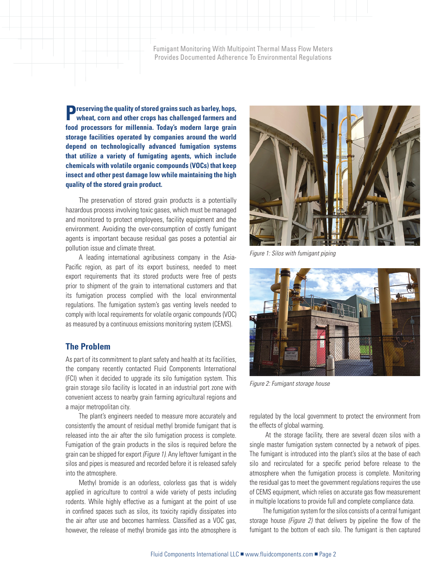Fumigant Monitoring With Multipoint Thermal Mass Flow Meters Provides Documented Adherence To Environmental Regulations

**Preserving the quality of stored grains such as barley, hops, wheat, corn and other crops has challenged farmers and food processors for millennia. Today's modern large grain storage facilities operated by companies around the world depend on technologically advanced fumigation systems that utilize a variety of fumigating agents, which include chemicals with volatile organic compounds (VOCs) that keep insect and other pest damage low while maintaining the high quality of the stored grain product.**

The preservation of stored grain products is a potentially hazardous process involving toxic gases, which must be managed and monitored to protect employees, facility equipment and the environment. Avoiding the over-consumption of costly fumigant agents is important because residual gas poses a potential air pollution issue and climate threat.

A leading international agribusiness company in the Asia-Pacific region, as part of its export business, needed to meet export requirements that its stored products were free of pests prior to shipment of the grain to international customers and that its fumigation process complied with the local environmental regulations. The fumigation system's gas venting levels needed to comply with local requirements for volatile organic compounds (VOC) as measured by a continuous emissions monitoring system (CEMS).

#### **The Problem**

As part of its commitment to plant safety and health at its facilities, the company recently contacted Fluid Components International (FCI) when it decided to upgrade its silo fumigation system. This grain storage silo facility is located in an industrial port zone with convenient access to nearby grain farming agricultural regions and a major metropolitan city.

The plant's engineers needed to measure more accurately and consistently the amount of residual methyl bromide fumigant that is released into the air after the silo fumigation process is complete. Fumigation of the grain products in the silos is required before the grain can be shipped for export *(Figure 1)*. Any leftover fumigant in the silos and pipes is measured and recorded before it is released safely into the atmosphere.

Methyl bromide is an odorless, colorless gas that is widely applied in agriculture to control a wide variety of pests including rodents. While highly effective as a fumigant at the point of use in confined spaces such as silos, its toxicity rapidly dissipates into the air after use and becomes harmless. Classified as a VOC gas, however, the release of methyl bromide gas into the atmosphere is



*Figure 1: Silos with fumigant piping* 



*Figure 2: Fumigant storage house* 

regulated by the local government to protect the environment from the effects of global warming.

 At the storage facility, there are several dozen silos with a single master fumigation system connected by a network of pipes. The fumigant is introduced into the plant's silos at the base of each silo and recirculated for a specific period before release to the atmosphere when the fumigation process is complete. Monitoring the residual gas to meet the government regulations requires the use of CEMS equipment, which relies on accurate gas flow measurement in multiple locations to provide full and complete compliance data.

The fumigation system for the silos consists of a central fumigant storage house *(Figure 2)* that delivers by pipeline the flow of the fumigant to the bottom of each silo. The fumigant is then captured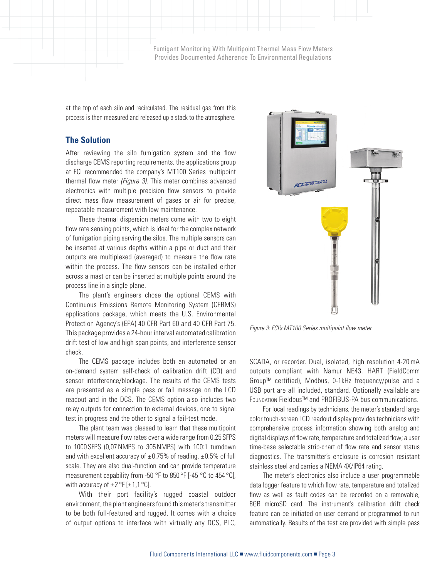Fumigant Monitoring With Multipoint Thermal Mass Flow Meters Provides Documented Adherence To Environmental Regulations

at the top of each silo and recirculated. The residual gas from this process is then measured and released up a stack to the atmosphere.

### **The Solution**

After reviewing the silo fumigation system and the flow discharge CEMS reporting requirements, the applications group at FCI recommended the company's MT100 Series multipoint thermal flow meter *(Figure 3)*. This meter combines advanced electronics with multiple precision flow sensors to provide direct mass flow measurement of gases or air for precise, repeatable measurement with low maintenance.

These thermal dispersion meters come with two to eight flow rate sensing points, which is ideal for the complex network of fumigation piping serving the silos. The multiple sensors can be inserted at various depths within a pipe or duct and their outputs are multiplexed (averaged) to measure the flow rate within the process. The flow sensors can be installed either across a mast or can be inserted at multiple points around the process line in a single plane.

The plant's engineers chose the optional CEMS with Continuous Emissions Remote Monitoring System (CERMS) applications package, which meets the U.S. Environmental Protection Agency's (EPA) 40 CFR Part 60 and 40 CFR Part 75. This package provides a 24-hour interval automated calibration drift test of low and high span points, and interference sensor check.

The CEMS package includes both an automated or an on-demand system self-check of calibration drift (CD) and sensor interference/blockage. The results of the CEMS tests are presented as a simple pass or fail message on the LCD readout and in the DCS. The CEMS option also includes two relay outputs for connection to external devices, one to signal test in progress and the other to signal a fail-test mode.

The plant team was pleased to learn that these multipoint meters will measure flow rates over a wide range from 0.25SFPS to 1000SFPS (0,07NMPS to 305NMPS) with 100:1 turndown and with excellent accuracy of  $\pm 0.75\%$  of reading,  $\pm 0.5\%$  of full scale. They are also dual-function and can provide temperature measurement capability from -50 °F to 850 °F [-45 °C to 454 °C], with accuracy of  $\pm 2$  °F [ $\pm 1$ ,1 °C].

With their port facility's rugged coastal outdoor environment, the plant engineers found this meter's transmitter to be both full-featured and rugged. It comes with a choice of output options to interface with virtually any DCS, PLC,



*Figure 3: FCI's MT100 Series multipoint flow meter*

SCADA, or recorder. Dual, isolated, high resolution 4-20mA outputs compliant with Namur NE43, HART (FieldComm Group™ certified), Modbus, 0-1kHz frequency/pulse and a USB port are all included, standard. Optionally available are Foundation Fieldbus™ and PROFIBUS-PA bus communications.

For local readings by technicians, the meter's standard large color touch-screen LCD readout display provides technicians with comprehensive process information showing both analog and digital displays of flow rate, temperature and totalized flow; a user time-base selectable strip-chart of flow rate and sensor status diagnostics. The transmitter's enclosure is corrosion resistant stainless steel and carries a NEMA 4X/IP64 rating.

The meter's electronics also include a user programmable data logger feature to which flow rate, temperature and totalized flow as well as fault codes can be recorded on a removable, 8GB microSD card. The instrument's calibration drift check feature can be initiated on user demand or programmed to run automatically. Results of the test are provided with simple pass